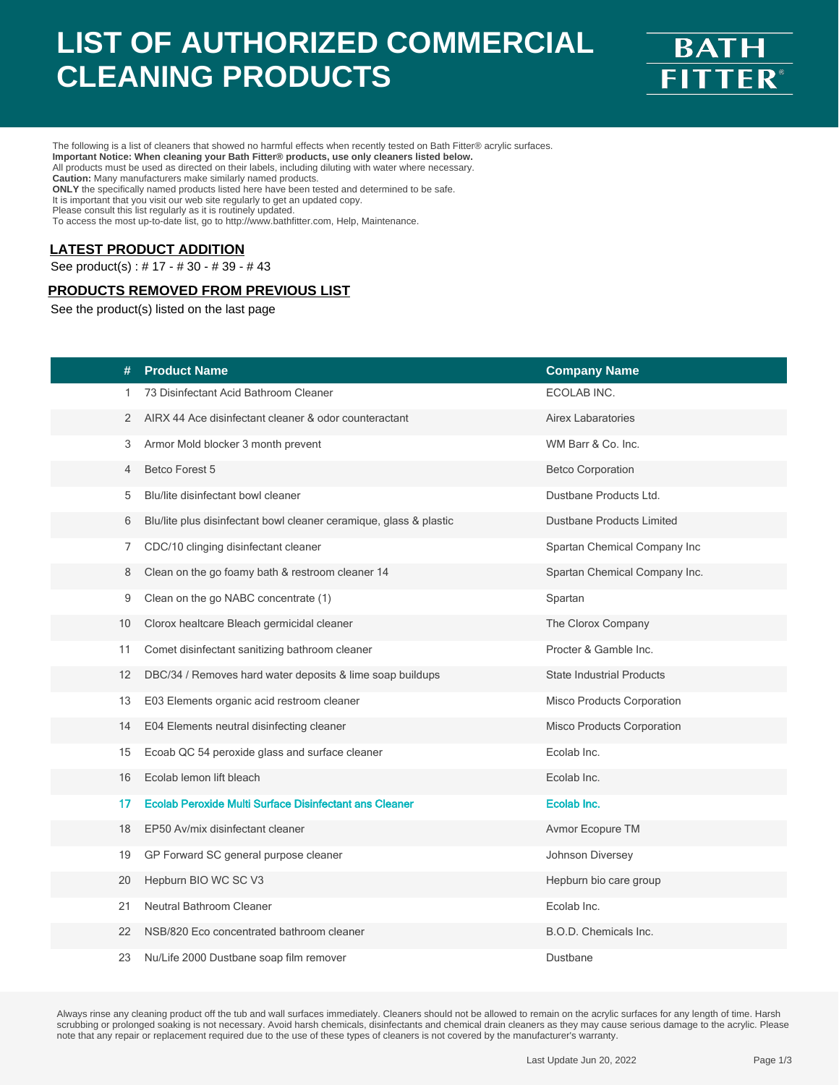# **LIST OF AUTHORIZED COMMERCIAL CLEANING PRODUCTS**



The following is a list of cleaners that showed no harmful effects when recently tested on Bath Fitter® acrylic surfaces. **Important Notice: When cleaning your Bath Fitter® products, use only cleaners listed below.** All products must be used as directed on their labels, including diluting with water where necessary.

**Caution:** Many manufacturers make similarly named products. **ONLY** the specifically named products listed here have been tested and determined to be safe.

It is important that you visit our web site regularly to get an updated copy. Please consult this list regularly as it is routinely updated.

To access the most up-to-date list, go to http://www.bathfitter.com, Help, Maintenance.

#### **LATEST PRODUCT ADDITION**

See product(s) : # 17 - # 30 - # 39 - # 43

### **PRODUCTS REMOVED FROM PREVIOUS LIST**

See the product(s) listed on the last page

| #                 | <b>Product Name</b>                                                | <b>Company Name</b>               |
|-------------------|--------------------------------------------------------------------|-----------------------------------|
| 1.                | 73 Disinfectant Acid Bathroom Cleaner                              | ECOLAB INC.                       |
| 2                 | AIRX 44 Ace disinfectant cleaner & odor counteractant              | Airex Labaratories                |
| 3                 | Armor Mold blocker 3 month prevent                                 | WM Barr & Co. Inc.                |
| 4                 | Betco Forest 5                                                     | <b>Betco Corporation</b>          |
| 5                 | Blu/lite disinfectant bowl cleaner                                 | Dustbane Products Ltd.            |
| 6                 | Blu/lite plus disinfectant bowl cleaner ceramique, glass & plastic | <b>Dustbane Products Limited</b>  |
| 7                 | CDC/10 clinging disinfectant cleaner                               | Spartan Chemical Company Inc      |
| 8                 | Clean on the go foamy bath & restroom cleaner 14                   | Spartan Chemical Company Inc.     |
| 9                 | Clean on the go NABC concentrate (1)                               | Spartan                           |
| 10                | Clorox healtcare Bleach germicidal cleaner                         | The Clorox Company                |
| 11                | Comet disinfectant sanitizing bathroom cleaner                     | Procter & Gamble Inc.             |
| $12 \overline{ }$ | DBC/34 / Removes hard water deposits & lime soap buildups          | <b>State Industrial Products</b>  |
| 13                | E03 Elements organic acid restroom cleaner                         | <b>Misco Products Corporation</b> |
| 14                | E04 Elements neutral disinfecting cleaner                          | Misco Products Corporation        |
| 15                | Ecoab QC 54 peroxide glass and surface cleaner                     | Ecolab Inc.                       |
| 16                | Ecolab lemon lift bleach                                           | Ecolab Inc.                       |
| 17                | <b>Ecolab Peroxide Multi Surface Disinfectant ans Cleaner</b>      | Ecolab Inc.                       |
| 18                | EP50 Av/mix disinfectant cleaner                                   | Avmor Ecopure TM                  |
| 19                | GP Forward SC general purpose cleaner                              | Johnson Diversey                  |
| 20                | Hepburn BIO WC SC V3                                               | Hepburn bio care group            |
| 21                | Neutral Bathroom Cleaner                                           | Ecolab Inc.                       |
| 22                | NSB/820 Eco concentrated bathroom cleaner                          | B.O.D. Chemicals Inc.             |
| 23                | Nu/Life 2000 Dustbane soap film remover                            | Dustbane                          |

Always rinse any cleaning product off the tub and wall surfaces immediately. Cleaners should not be allowed to remain on the acrylic surfaces for any length of time. Harsh scrubbing or prolonged soaking is not necessary. Avoid harsh chemicals, disinfectants and chemical drain cleaners as they may cause serious damage to the acrylic. Please<br>note that any repair or replacement required due to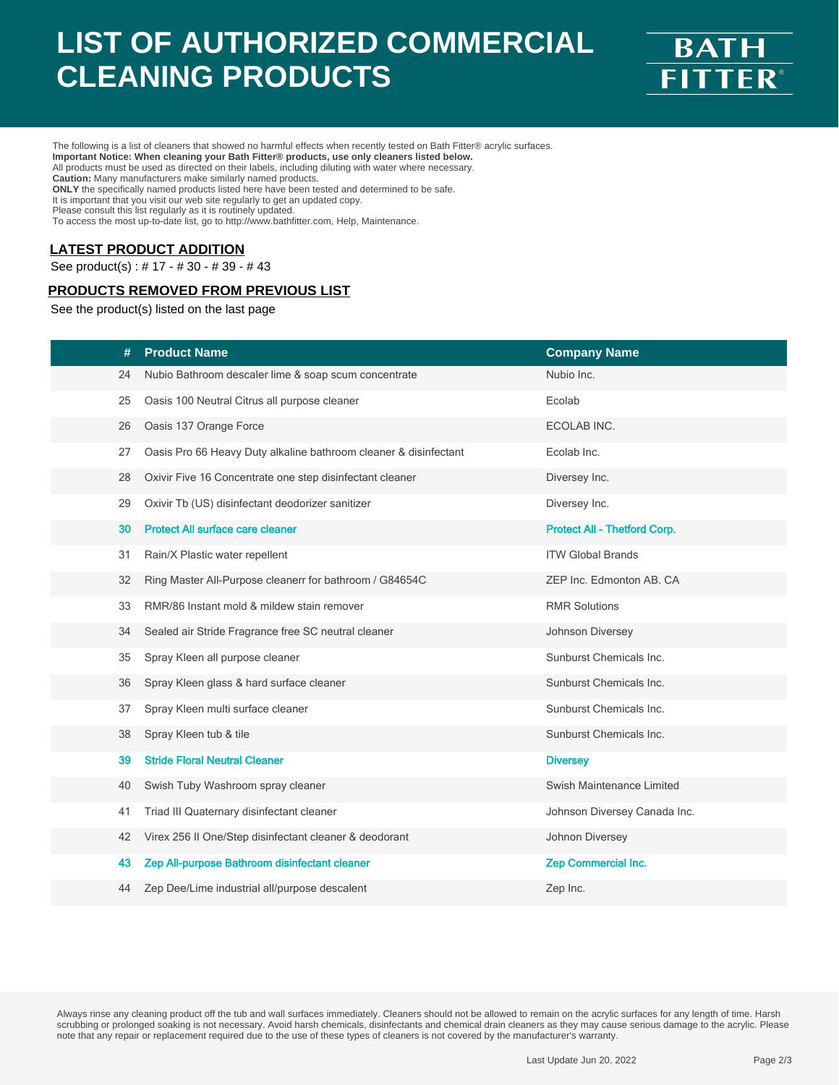# **LIST OF AUTHORIZED COMMERCIAL CLEANING PRODUCTS**



The following is a list of cleaners that showed no harmful effects when recently tested on Bath Fitter® acrylic surfaces.

**Important Notice: When cleaning your Bath Fitter® products, use only cleaners listed below.** All products must be used as directed on their labels, including diluting with water where necessary.

**Caution:** Many manufacturers make similarly named products.

**ONLY** the specifically named products listed here have been tested and determined to be safe.

It is important that you visit our web site regularly to get an updated copy. Please consult this list regularly as it is routinely updated.

To access the most up-to-date list, go to http://www.bathfitter.com, Help, Maintenance.

### **LATEST PRODUCT ADDITION**

See product(s) : # 17 - # 30 - # 39 - # 43

### **PRODUCTS REMOVED FROM PREVIOUS LIST**

See the product(s) listed on the last page

| #  | <b>Product Name</b>                                              | <b>Company Name</b>          |
|----|------------------------------------------------------------------|------------------------------|
| 24 | Nubio Bathroom descaler lime & soap scum concentrate             | Nubio Inc.                   |
| 25 | Oasis 100 Neutral Citrus all purpose cleaner                     | Ecolab                       |
| 26 | Oasis 137 Orange Force                                           | ECOLAB INC.                  |
| 27 | Oasis Pro 66 Heavy Duty alkaline bathroom cleaner & disinfectant | Ecolab Inc.                  |
| 28 | Oxivir Five 16 Concentrate one step disinfectant cleaner         | Diversey Inc.                |
| 29 | Oxivir Tb (US) disinfectant deodorizer sanitizer                 | Diversey Inc.                |
| 30 | <b>Protect All surface care cleaner</b>                          | Protect All - Thetford Corp. |
| 31 | Rain/X Plastic water repellent                                   | <b>ITW Global Brands</b>     |
| 32 | Ring Master All-Purpose cleanerr for bathroom / G84654C          | ZEP Inc. Edmonton AB. CA     |
| 33 | RMR/86 Instant mold & mildew stain remover                       | <b>RMR Solutions</b>         |
| 34 | Sealed air Stride Fragrance free SC neutral cleaner              | Johnson Diversey             |
| 35 | Spray Kleen all purpose cleaner                                  | Sunburst Chemicals Inc.      |
| 36 | Spray Kleen glass & hard surface cleaner                         | Sunburst Chemicals Inc.      |
| 37 | Spray Kleen multi surface cleaner                                | Sunburst Chemicals Inc.      |
| 38 | Spray Kleen tub & tile                                           | Sunburst Chemicals Inc.      |
| 39 | <b>Stride Floral Neutral Cleaner</b>                             | <b>Diversey</b>              |
| 40 | Swish Tuby Washroom spray cleaner                                | Swish Maintenance Limited    |
| 41 | Triad III Quaternary disinfectant cleaner                        | Johnson Diversey Canada Inc. |
| 42 | Virex 256 II One/Step disinfectant cleaner & deodorant           | Johnon Diversey              |
| 43 | Zep All-purpose Bathroom disinfectant cleaner                    | Zep Commercial Inc.          |
| 44 | Zep Dee/Lime industrial all/purpose descalent                    | Zep Inc.                     |
|    |                                                                  |                              |

Always rinse any cleaning product off the tub and wall surfaces immediately. Cleaners should not be allowed to remain on the acrylic surfaces for any length of time. Harsh scrubbing or prolonged soaking is not necessary. Avoid harsh chemicals, disinfectants and chemical drain cleaners as they may cause serious damage to the acrylic. Please<br>note that any repair or replacement required due to